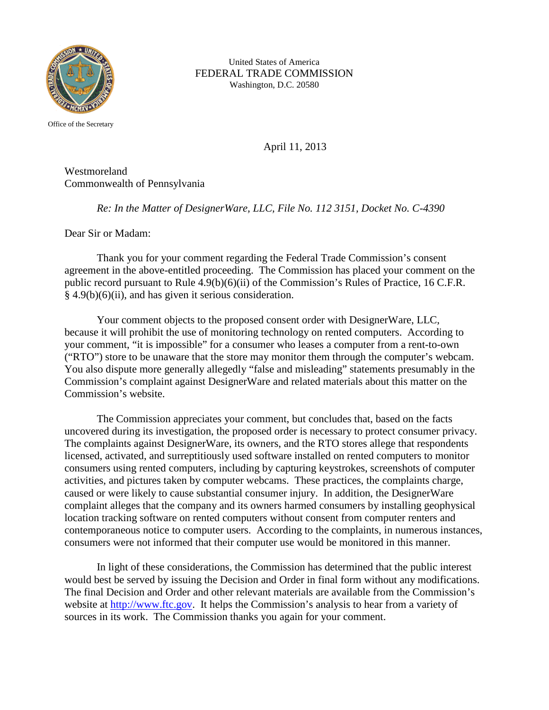

United States of America FEDERAL TRADE COMMISSION Washington, D.C. 20580

Office of the Secretary

April 11, 2013

Westmoreland Commonwealth of Pennsylvania

*Re: In the Matter of DesignerWare, LLC, File No. 112 3151, Docket No. C-4390*

Dear Sir or Madam:

Thank you for your comment regarding the Federal Trade Commission's consent agreement in the above-entitled proceeding. The Commission has placed your comment on the public record pursuant to Rule 4.9(b)(6)(ii) of the Commission's Rules of Practice, 16 C.F.R. § 4.9(b)(6)(ii), and has given it serious consideration.

Your comment objects to the proposed consent order with DesignerWare, LLC, because it will prohibit the use of monitoring technology on rented computers. According to your comment, "it is impossible" for a consumer who leases a computer from a rent-to-own ("RTO") store to be unaware that the store may monitor them through the computer's webcam. You also dispute more generally allegedly "false and misleading" statements presumably in the Commission's complaint against DesignerWare and related materials about this matter on the Commission's website.

The Commission appreciates your comment, but concludes that, based on the facts uncovered during its investigation, the proposed order is necessary to protect consumer privacy. The complaints against DesignerWare, its owners, and the RTO stores allege that respondents licensed, activated, and surreptitiously used software installed on rented computers to monitor consumers using rented computers, including by capturing keystrokes, screenshots of computer activities, and pictures taken by computer webcams. These practices, the complaints charge, caused or were likely to cause substantial consumer injury. In addition, the DesignerWare complaint alleges that the company and its owners harmed consumers by installing geophysical location tracking software on rented computers without consent from computer renters and contemporaneous notice to computer users. According to the complaints, in numerous instances, consumers were not informed that their computer use would be monitored in this manner.

In light of these considerations, the Commission has determined that the public interest would best be served by issuing the Decision and Order in final form without any modifications. The final Decision and Order and other relevant materials are available from the Commission's website at [http://www.ftc.gov.](http://www.ftc.gov/) It helps the Commission's analysis to hear from a variety of sources in its work. The Commission thanks you again for your comment.